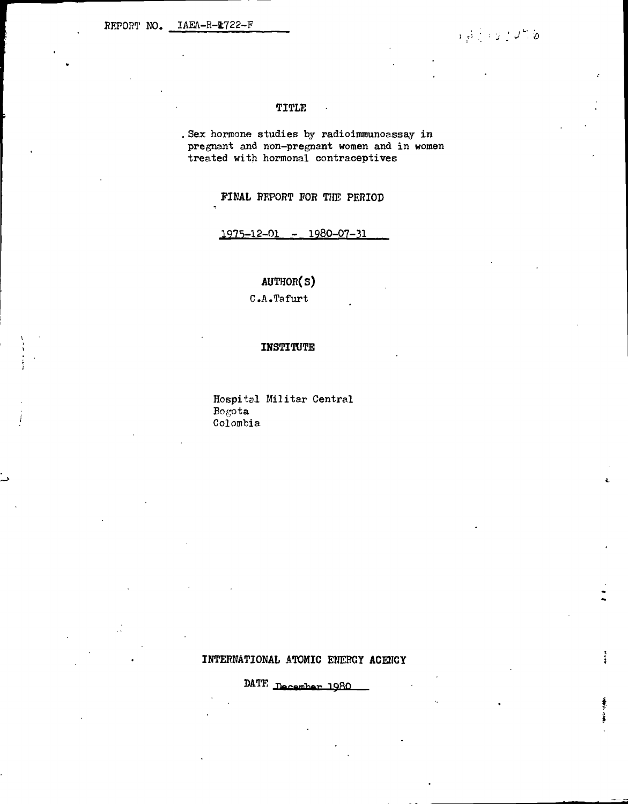### TITLE

. Sex hormone studies by radioimmunoassay in pregnant and non-pregnant women and in women treated with hormonal contraceptives

FINAL REPORT FOR THE PERIOD

 $1975 - 12 - 01 - 1980 - 07 - 31$ 

# AUTHOR(S)

 $C.A.$  Tafurt

#### **INSTITUTE**

Hospital Militar Central Bogota Colombia

#### INTERNATIONAL ATOMIC ENERGY ACENCY

DATE December 1980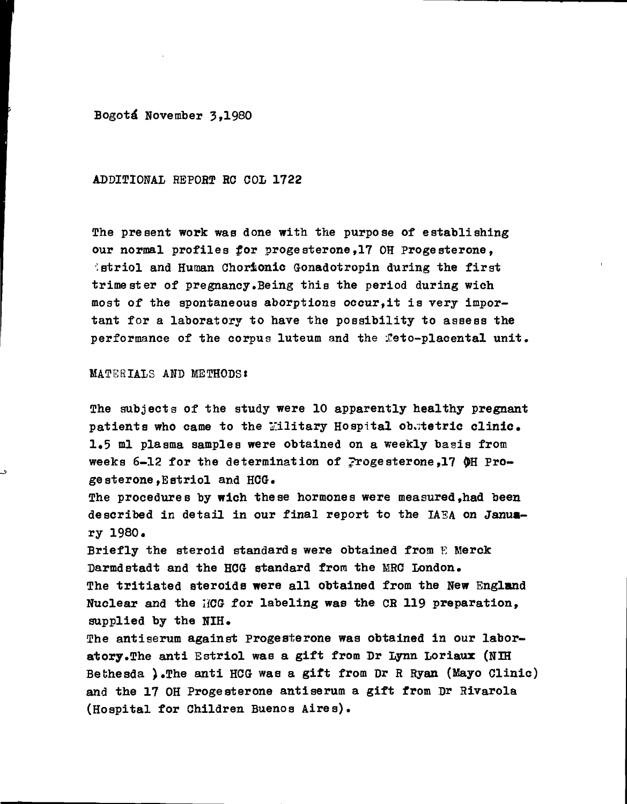Bogotá November 3.1980

ADDITIONAL REPORT RC COL 1722

The present work was done with the purpose of establishing our normal profiles for progesterone,17 OH Progesterone, **istriol and Human Chorionic Gonadotropin during the first** trimester of pregnancy.Being this the period during wich most of the spontaneous aborptions occur,it is very important for a laboratory to have the possibility to assess the performance of the corpus luteum and the feto-placental unit.

#### MATERIALS AND METHODS:

The subjects of the study were 10 apparently healthy pregnant patients who came to the Military Hospital obstetric clinic. 1,5 ml plasma samples were obtained on a weekly basis from weeks 6-12 for the determination of progesterone, 17  $\phi$ H Progesterone.Estriol and HCG.

The procedures by wich these hormones were measured,had been described in detail in our final report to the IAEA on January 1980.

Briefly the steroid standards were obtained from E Merck Darmdstadt and the HCG standard from the MRC London. The tritiated steroids were all obtained from the New England Nuclear and the IiGQ for labeling was the CB 119 preparation, supplied by the NIH.

The antiserum against Progesterone was obtained in our laboratory.The anti Estriol was a gift from Dr Lynn Loriaux (NIH Bebhesda ).The anti HCG was a gift from Dr R Ryan (Mayo Clinic) and the 17 OH Progesterone antiserum a gift from Dr Rivarola (Hospital for Children Buenos Aires).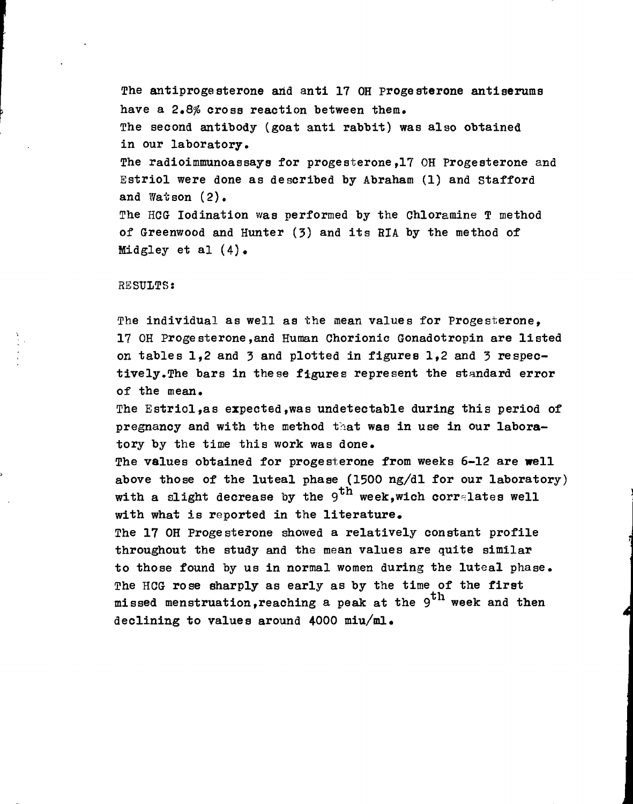The antiprogesterone and anti 17 OH progesterone antiserums have a 2.8% cross reaction between them. The second antibody (goat anti rabbit) was also obtained in our laboratory. The radioimmunoassays for progesterone,17 OH Progesterone and Estriol were done as described by Abraham (1) and Stafford and Watson (2).

The HCG lodination was performed by the Chloramine T method of Greenwood and Hunter (3) and its HIA by the method of Midgley et al (4).

#### RESULTS:

The individual as well as the mean values for Progesterone, 17 OH Progesterone,and Human Chorionic Gonadotropin are listed on tables 1,2 and 3 and plotted in figures 1,2 and 3 respectively.The bars in these figures represent the standard error of the mean.

The Estriol,as expected,was undetectable during this period of pregnancy and with the method that was in use in our laboratory by the time this work was done.

The values obtained for progesterone from weeks 6-12 are well above those of the luteal phase (1500 ng/dl for our laboratory) with a slight decrease by the 9<sup>th</sup> week,wich correlates well with what is reported in the literature,

The 17 OH Progesterone showed a relatively constant profile throughout the study and the mean values are quite similar to those found by us in normal women during the luteal phase. The HCG rose sharply as early as by the time of the first missed menstruation, reaching a peak at the  $9^{th}$  week and then declining to values around  $4000$  miu/ml.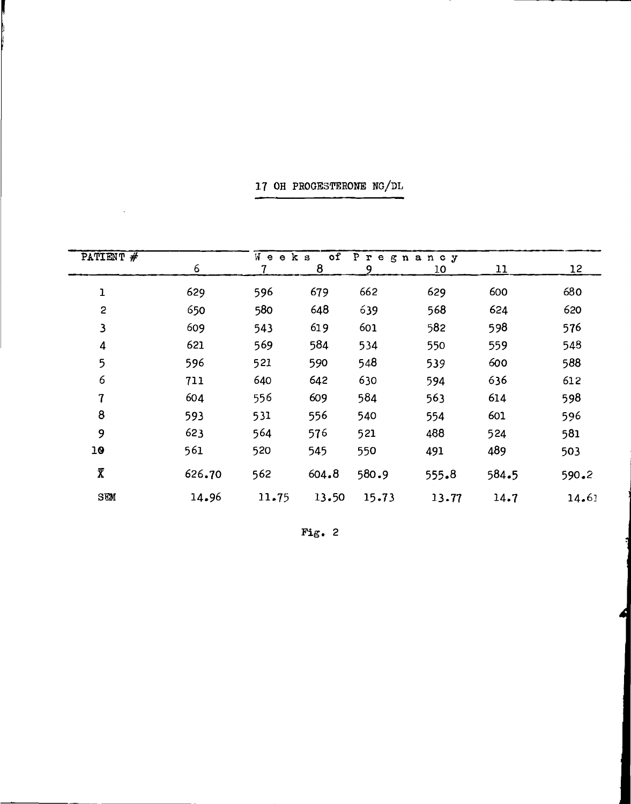| PATIENT #                | $\overline{of}$<br>Wе<br>Pregnancy<br>e k s |       |       |       |       |       |       |  |  |
|--------------------------|---------------------------------------------|-------|-------|-------|-------|-------|-------|--|--|
|                          | 6                                           |       | 8     | 9     | 10    | 11    | 12    |  |  |
| ı                        | 629                                         | 596   | 679   | 662   | 629   | 600   | 680   |  |  |
| $\overline{c}$           | 650                                         | 580   | 648   | 639   | 568   | 624   | 620   |  |  |
| $\mathbf{3}$             | 609                                         | 543   | 619   | 601   | 582   | 598   | 576   |  |  |
| 4                        | 621                                         | 569   | 584   | 534   | 550   | 559   | 548   |  |  |
| 5                        | 596                                         | 521   | 590   | 548   | 539   | 600   | 588   |  |  |
| 6                        | 711                                         | 640   | 642   | 630   | 594   | 636   | 612   |  |  |
| $\overline{\mathcal{L}}$ | 604                                         | 556   | 609   | 584   | 563   | 614   | 598   |  |  |
| 8                        | 593                                         | 531   | 556   | 540   | 554   | 601   | 596   |  |  |
| 9                        | 623                                         | 564   | 576   | 521   | 488   | 524   | 581   |  |  |
| 10                       | 561                                         | 520   | 545   | 550   | 491   | 489   | 503   |  |  |
| $\overline{\chi}$        | 626.70                                      | 562   | 604.8 | 580.9 | 555.8 | 584.5 | 590.2 |  |  |
| SEM                      | 14.96                                       | 11.75 | 13.50 | 15.73 | 13.77 | 14.7  | 14.61 |  |  |

17 OH PROGESTERONE NG/DL

 $\mathcal{L}$ 

Fig.  $2$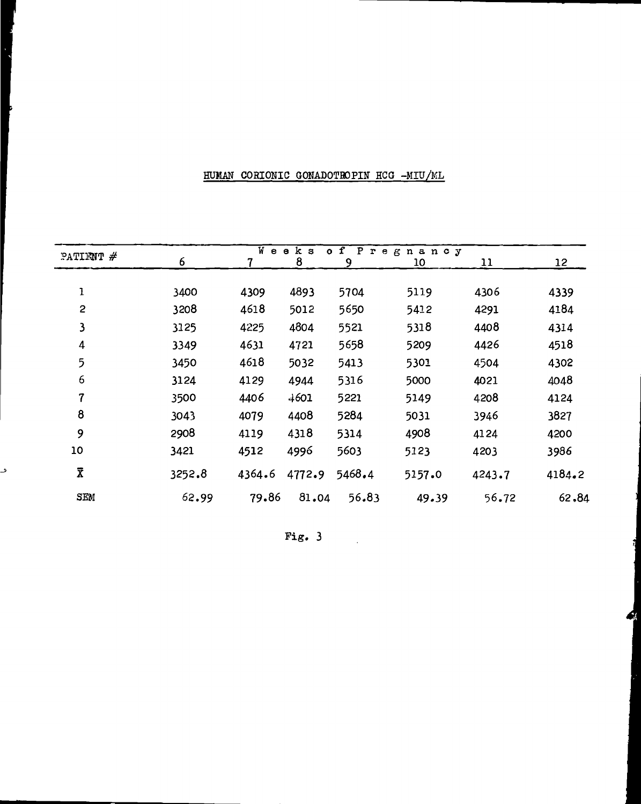## HUMAN CORIONIC GONADOTROPIN HCG -MIU/ML

د

|                         | $W$ ee<br>k <sub>s</sub><br>f<br>$\mathbf{P}$<br>$\mathbf{o}$<br>${\bf r}$<br>egnancy |        |        |        |        |        |        |  |  |  |
|-------------------------|---------------------------------------------------------------------------------------|--------|--------|--------|--------|--------|--------|--|--|--|
| PATIENT $#$             | 6                                                                                     |        | 8      | 9      | 10     | 11     | 12     |  |  |  |
|                         |                                                                                       |        |        |        |        |        |        |  |  |  |
| $\mathbf 1$             | 3400                                                                                  | 4309   | 4893   | 5704   | 5119   | 4306   | 4339   |  |  |  |
| $\overline{\mathbf{c}}$ | 3208                                                                                  | 4618   | 5012   | 5650   | 5412   | 4291   | 4184   |  |  |  |
| 3                       | 3125                                                                                  | 4225   | 4804   | 5521   | 5318   | 4408   | 4314   |  |  |  |
| 4                       | 3349                                                                                  | 4631   | 4721   | 5658   | 5209   | 4426   | 4518   |  |  |  |
| 5                       | 3450                                                                                  | 4618   | 5032   | 5413   | 5301   | 4504   | 4302   |  |  |  |
| 6                       | 3124                                                                                  | 4129   | 4944   | 5316   | 5000   | 4021   | 4048   |  |  |  |
| $\overline{7}$          | 3500                                                                                  | 4406   | 4601   | 5221   | 5149   | 4208   | 4124   |  |  |  |
| 8                       | 3043                                                                                  | 4079   | 4408   | 5284   | 5031   | 3946   | 3827   |  |  |  |
| 9                       | 2908                                                                                  | 4119   | 4318   | 5314   | 4908   | 4124   | 4200   |  |  |  |
| 10                      | 3421                                                                                  | 4512   | 4996   | 5603   | 5123   | 4203   | 3986   |  |  |  |
| $\overline{\textbf{X}}$ | 3252.8                                                                                | 4364.6 | 4772.9 | 5468.4 | 5157.0 | 4243.7 | 4184.2 |  |  |  |
| ${\tt SEM}$             | 62.99                                                                                 | 79.86  | 81.04  | 56.83  | 49.39  | 56.72  | 62,84  |  |  |  |

Fig.  $3 \qquad \qquad$ 

48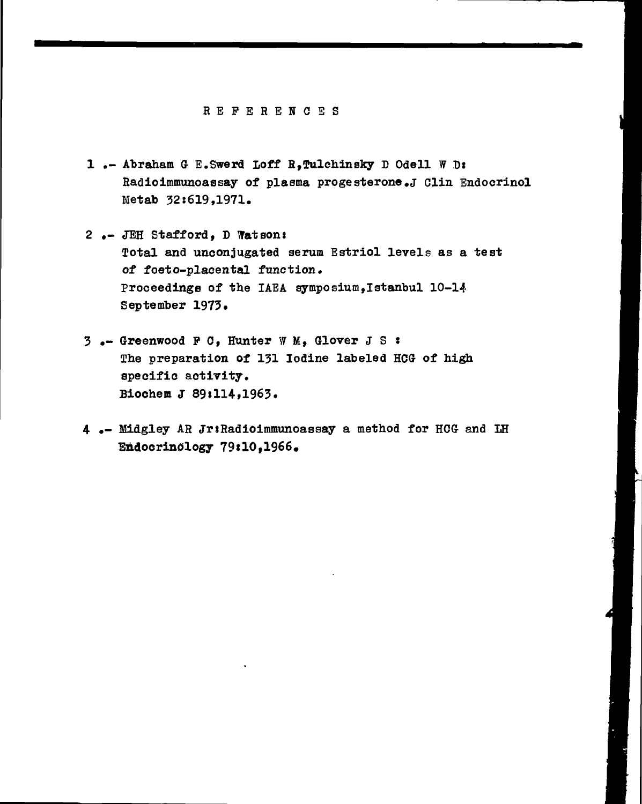#### HEFERENCE S

- 1.- Abraham G E. Swerd Loff R, Tulchinsky D Odell W D: Radioimmunoassay of plasma progesterone.J Clin Endocrinol Metab 32:619,1971.
- 2 .- JEH Stafford, D Watsons Total and unconjugated serum Estriol levels as a test of foeto-placental function. Proceedings of the IAEA symposium,Istanbul 10-14 September 1973.
- 3 .- Greenwood P C, Hunter WM , Glover JS <sup>J</sup> The preparation of 131 Iodine labeled HCG of high specific activity. Biochem J 89:114,1963.
- 4 .- Midgley AH JriHadiolmmunoassay a method for HCG and IH Endocrinology 79110,1966,